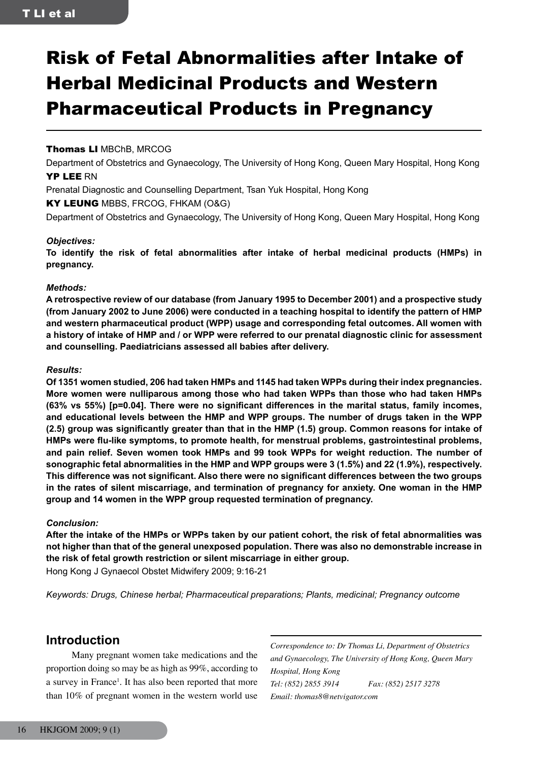# Risk of Fetal Abnormalities after Intake of Herbal Medicinal Products and Western Pharmaceutical Products in Pregnancy

## Thomas LI MBChB, MRCOG

Department of Obstetrics and Gynaecology, The University of Hong Kong, Queen Mary Hospital, Hong Kong YP LEE RN

Prenatal Diagnostic and Counselling Department, Tsan Yuk Hospital, Hong Kong

KY LEUNG MBBS, FRCOG, FHKAM (O&G)

Department of Obstetrics and Gynaecology, The University of Hong Kong, Queen Mary Hospital, Hong Kong

## *Objectives:*

**To identify the risk of fetal abnormalities after intake of herbal medicinal products (HMPs) in pregnancy.**

## *Methods:*

**A retrospective review of our database (from January 1995 to December 2001) and a prospective study (from January 2002 to June 2006) were conducted in a teaching hospital to identify the pattern of HMP and western pharmaceutical product (WPP) usage and corresponding fetal outcomes. All women with a history of intake of HMP and / or WPP were referred to our prenatal diagnostic clinic for assessment and counselling. Paediatricians assessed all babies after delivery.**

## *Results:*

**Of 1351 women studied, 206 had taken HMPs and 1145 had taken WPPs during their index pregnancies. More women were nulliparous among those who had taken WPPs than those who had taken HMPs (63% vs 55%) [p=0.04]. There were no significant differences in the marital status, family incomes, and educational levels between the HMP and WPP groups. The number of drugs taken in the WPP (2.5) group was significantly greater than that in the HMP (1.5) group. Common reasons for intake of HMPs were flu-like symptoms, to promote health, for menstrual problems, gastrointestinal problems, and pain relief. Seven women took HMPs and 99 took WPPs for weight reduction. The number of sonographic fetal abnormalities in the HMP and WPP groups were 3 (1.5%) and 22 (1.9%), respectively. This difference was not significant. Also there were no significant differences between the two groups in the rates of silent miscarriage, and termination of pregnancy for anxiety. One woman in the HMP group and 14 women in the WPP group requested termination of pregnancy.**

## *Conclusion:*

**After the intake of the HMPs or WPPs taken by our patient cohort, the risk of fetal abnormalities was not higher than that of the general unexposed population. There was also no demonstrable increase in the risk of fetal growth restriction or silent miscarriage in either group.**

Hong Kong J Gynaecol Obstet Midwifery 2009; 9:16-21

*Keywords: Drugs, Chinese herbal; Pharmaceutical preparations; Plants, medicinal; Pregnancy outcome*

# **Introduction**

Many pregnant women take medications and the proportion doing so may be as high as 99%, according to a survey in France<sup>1</sup>. It has also been reported that more than 10% of pregnant women in the western world use *Correspondence to: Dr Thomas Li, Department of Obstetrics and Gynaecology, The University of Hong Kong, Queen Mary Hospital, Hong Kong Tel: (852) 2855 3914 Fax: (852) 2517 3278 Email: thomas8@netvigator.com*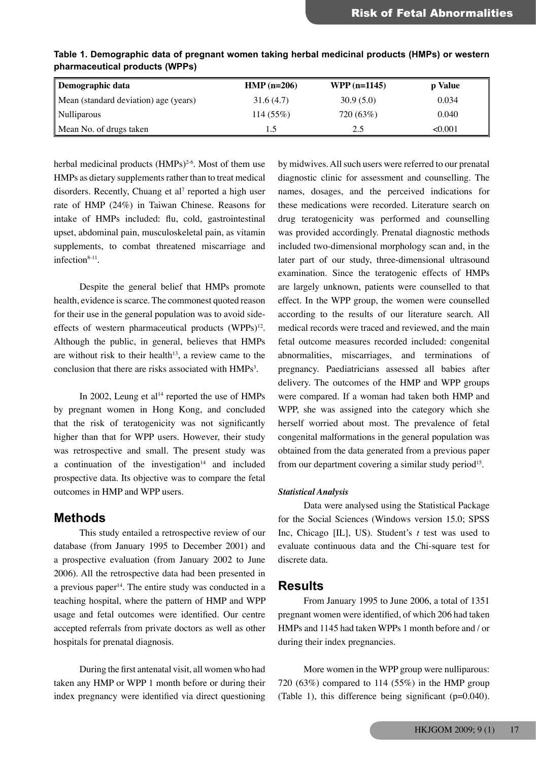| Demographic data                      | $HMP (n=206)$ | $WPP(n=1145)$ | p Value |
|---------------------------------------|---------------|---------------|---------|
| Mean (standard deviation) age (years) | 31.6(4.7)     | 30.9(5.0)     | 0.034   |
| Nulliparous                           | 114(55%)      | 720 (63%)     | 0.040   |
| Mean No. of drugs taken               |               | 2.5           | < 0.001 |

**Table 1. Demographic data of pregnant women taking herbal medicinal products (HMPs) or western pharmaceutical products (WPPs)**

herbal medicinal products  $(HMPs)^{2-6}$ . Most of them use HMPs as dietary supplements rather than to treat medical disorders. Recently, Chuang et al<sup>7</sup> reported a high user rate of HMP (24%) in Taiwan Chinese. Reasons for intake of HMPs included: flu, cold, gastrointestinal upset, abdominal pain, musculoskeletal pain, as vitamin supplements, to combat threatened miscarriage and infection $8-11$ .

Despite the general belief that HMPs promote health, evidence is scarce. The commonest quoted reason for their use in the general population was to avoid sideeffects of western pharmaceutical products (WPPs)<sup>12</sup>. Although the public, in general, believes that HMPs are without risk to their health<sup>13</sup>, a review came to the conclusion that there are risks associated with HMPs<sup>3</sup>.

In 2002, Leung et al<sup>14</sup> reported the use of HMPs by pregnant women in Hong Kong, and concluded that the risk of teratogenicity was not significantly higher than that for WPP users. However, their study was retrospective and small. The present study was a continuation of the investigation $14$  and included prospective data. Its objective was to compare the fetal outcomes in HMP and WPP users.

## **Methods**

This study entailed a retrospective review of our database (from January 1995 to December 2001) and a prospective evaluation (from January 2002 to June 2006). All the retrospective data had been presented in a previous paper<sup>14</sup>. The entire study was conducted in a teaching hospital, where the pattern of HMP and WPP usage and fetal outcomes were identified. Our centre accepted referrals from private doctors as well as other hospitals for prenatal diagnosis.

During the first antenatal visit, all women who had taken any HMP or WPP 1 month before or during their index pregnancy were identified via direct questioning by midwives. All such users were referred to our prenatal diagnostic clinic for assessment and counselling. The names, dosages, and the perceived indications for these medications were recorded. Literature search on drug teratogenicity was performed and counselling was provided accordingly. Prenatal diagnostic methods included two-dimensional morphology scan and, in the later part of our study, three-dimensional ultrasound examination. Since the teratogenic effects of HMPs are largely unknown, patients were counselled to that effect. In the WPP group, the women were counselled according to the results of our literature search. All medical records were traced and reviewed, and the main fetal outcome measures recorded included: congenital abnormalities, miscarriages, and terminations of pregnancy. Paediatricians assessed all babies after delivery. The outcomes of the HMP and WPP groups were compared. If a woman had taken both HMP and WPP, she was assigned into the category which she herself worried about most. The prevalence of fetal congenital malformations in the general population was obtained from the data generated from a previous paper from our department covering a similar study period<sup>15</sup>.

## *Statistical Analysis*

Data were analysed using the Statistical Package for the Social Sciences (Windows version 15.0; SPSS Inc, Chicago [IL], US). Student's *t* test was used to evaluate continuous data and the Chi-square test for discrete data.

## **Results**

From January 1995 to June 2006, a total of 1351 pregnant women were identified, of which 206 had taken HMPs and 1145 had taken WPPs 1 month before and / or during their index pregnancies.

More women in the WPP group were nulliparous: 720  $(63\%)$  compared to 114  $(55\%)$  in the HMP group (Table 1), this difference being significant (p=0.040).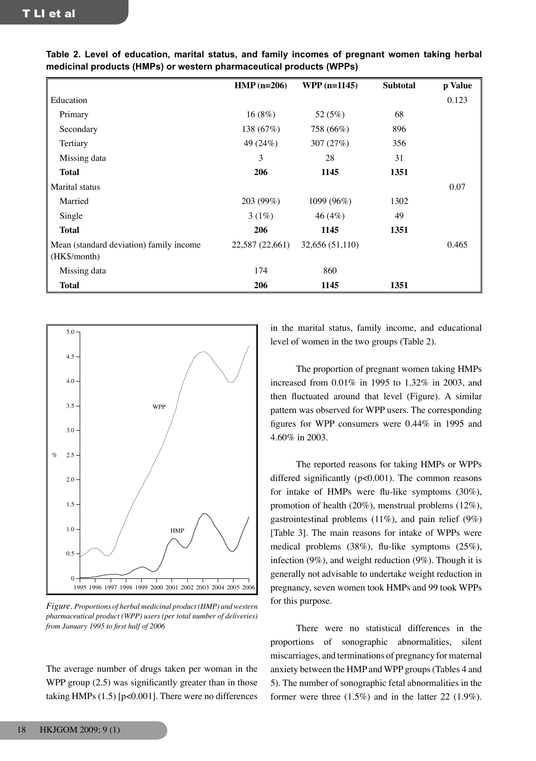|                                                         | $HMP$ (n=206)   | $WPP(n=1145)$   | <b>Subtotal</b> | p Value |
|---------------------------------------------------------|-----------------|-----------------|-----------------|---------|
| Education                                               |                 |                 |                 | 0.123   |
| Primary                                                 | 16(8%)          | 52 (5%)         | 68              |         |
| Secondary                                               | 138 (67%)       | 758 (66%)       | 896             |         |
| Tertiary                                                | 49 (24%)        | 307 (27%)       | 356             |         |
| Missing data                                            | 3               | 28              | 31              |         |
| <b>Total</b>                                            | 206             | 1145            | 1351            |         |
| Marital status                                          |                 |                 |                 | 0.07    |
| Married                                                 | 203 (99%)       | 1099 (96%)      | 1302            |         |
| Single                                                  | 3(1%)           | 46 $(4%)$       | 49              |         |
| <b>Total</b>                                            | 206             | 1145            | 1351            |         |
| Mean (standard deviation) family income<br>(HK\$/month) | 22,587 (22,661) | 32,656 (51,110) |                 | 0.465   |
| Missing data                                            | 174             | 860             |                 |         |
| <b>Total</b>                                            | 206             | 1145            | 1351            |         |

**Table 2. Level of education, marital status, and family incomes of pregnant women taking herbal medicinal products (HMPs) or western pharmaceutical products (WPPs)**



*Figure. Proportions of herbal medicinal product (HMP) and western pharmaceutical product (WPP) users (per total number of deliveries) from January 1995 to first half of 2006*

The average number of drugs taken per woman in the WPP group  $(2.5)$  was significantly greater than in those taking HMPs (1.5) [p<0.001]. There were no differences

in the marital status, family income, and educational level of women in the two groups (Table 2).

The proportion of pregnant women taking HMPs increased from 0.01% in 1995 to 1.32% in 2003, and then fluctuated around that level (Figure). A similar pattern was observed for WPP users. The corresponding figures for WPP consumers were 0.44% in 1995 and 4.60% in 2003.

The reported reasons for taking HMPs or WPPs differed significantly (p<0.001). The common reasons for intake of HMPs were flu-like symptoms (30%), promotion of health (20%), menstrual problems (12%), gastrointestinal problems  $(11\%)$ , and pain relief  $(9\%)$ [Table 3]. The main reasons for intake of WPPs were medical problems (38%), flu-like symptoms (25%), infection (9%), and weight reduction (9%). Though it is generally not advisable to undertake weight reduction in pregnancy, seven women took HMPs and 99 took WPPs for this purpose.

There were no statistical differences in the proportions of sonographic abnormalities, silent miscarriages, and terminations of pregnancy for maternal anxiety between the HMP and WPP groups (Tables 4 and 5). The number of sonographic fetal abnormalities in the former were three (1.5%) and in the latter 22 (1.9%).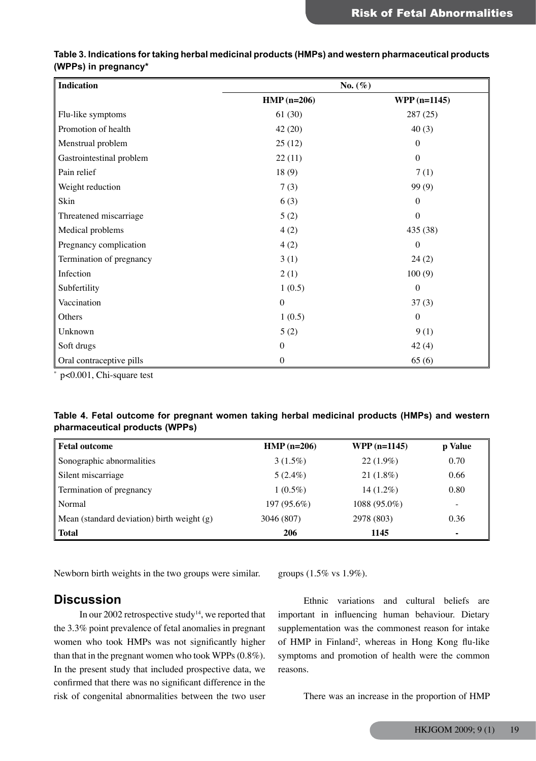| Table 3. Indications for taking herbal medicinal products (HMPs) and western pharmaceutical products |  |
|------------------------------------------------------------------------------------------------------|--|
| (WPPs) in pregnancy*                                                                                 |  |

| <b>Indication</b>        | No. $(\%)$       |                  |  |
|--------------------------|------------------|------------------|--|
|                          | $HMP$ (n=206)    | $WPP(n=1145)$    |  |
| Flu-like symptoms        | 61(30)           | 287 (25)         |  |
| Promotion of health      | 42(20)           | 40(3)            |  |
| Menstrual problem        | 25(12)           | $\Omega$         |  |
| Gastrointestinal problem | 22(11)           | $\theta$         |  |
| Pain relief              | 18(9)            | 7(1)             |  |
| Weight reduction         | 7(3)             | 99 (9)           |  |
| Skin                     | 6(3)             | $\boldsymbol{0}$ |  |
| Threatened miscarriage   | 5(2)             | $\boldsymbol{0}$ |  |
| Medical problems         | 4(2)             | 435 (38)         |  |
| Pregnancy complication   | 4(2)             | $\Omega$         |  |
| Termination of pregnancy | 3(1)             | 24(2)            |  |
| Infection                | 2(1)             | 100(9)           |  |
| Subfertility             | 1(0.5)           | $\boldsymbol{0}$ |  |
| Vaccination              | $\boldsymbol{0}$ | 37(3)            |  |
| Others                   | 1(0.5)           | $\boldsymbol{0}$ |  |
| Unknown                  | 5(2)             | 9(1)             |  |
| Soft drugs               | $\theta$         | 42(4)            |  |
| Oral contraceptive pills | $\boldsymbol{0}$ | 65(6)            |  |

\* p<0.001, Chi-square test

## **Table 4. Fetal outcome for pregnant women taking herbal medicinal products (HMPs) and western pharmaceutical products (WPPs)**

| <b>Fetal outcome</b>                         | $HMP$ (n=206) | $WPP(n=1145)$  | p Value |
|----------------------------------------------|---------------|----------------|---------|
| Sonographic abnormalities                    | $3(1.5\%)$    | $22(1.9\%)$    | 0.70    |
| Silent miscarriage                           | $5(2.4\%)$    | $21(1.8\%)$    | 0.66    |
| Termination of pregnancy                     | $1(0.5\%)$    | $14(1.2\%)$    | 0.80    |
| Normal                                       | $197(95.6\%)$ | $1088(95.0\%)$ |         |
| Mean (standard deviation) birth weight $(g)$ | 3046 (807)    | 2978 (803)     | 0.36    |
| Total                                        | 206           | 1145           | ۰       |

Newborn birth weights in the two groups were similar.

## **Discussion**

In our 2002 retrospective study<sup>14</sup>, we reported that the 3.3% point prevalence of fetal anomalies in pregnant women who took HMPs was not significantly higher than that in the pregnant women who took WPPs (0.8%). In the present study that included prospective data, we confirmed that there was no significant difference in the risk of congenital abnormalities between the two user groups (1.5% vs 1.9%).

Ethnic variations and cultural beliefs are important in influencing human behaviour. Dietary supplementation was the commonest reason for intake of HMP in Finland<sup>2</sup>, whereas in Hong Kong flu-like symptoms and promotion of health were the common reasons.

There was an increase in the proportion of HMP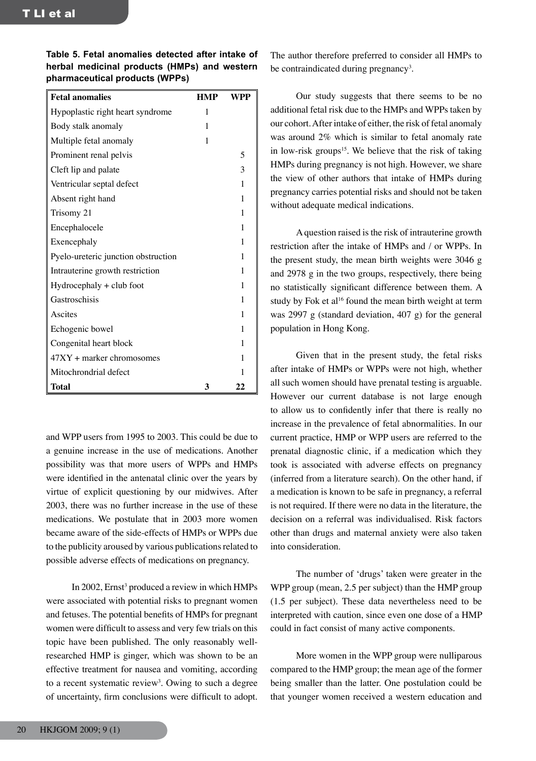**Table 5. Fetal anomalies detected after intake of herbal medicinal products (HMPs) and western pharmaceutical products (WPPs)**

| <b>Fetal anomalies</b>              | <b>HMP</b> | WPP |
|-------------------------------------|------------|-----|
| Hypoplastic right heart syndrome    | 1          |     |
| Body stalk anomaly                  | 1          |     |
| Multiple fetal anomaly              | 1          |     |
| Prominent renal pelvis              |            | 5   |
| Cleft lip and palate                |            | 3   |
| Ventricular septal defect           |            | 1   |
| Absent right hand                   |            | 1   |
| Trisomy 21                          |            | 1   |
| Encephalocele                       |            | 1   |
| Exencephaly                         |            | 1   |
| Pyelo-ureteric junction obstruction |            | 1   |
| Intrauterine growth restriction     |            | 1   |
| $Hydrocephaly + club foot$          |            | 1   |
| Gastroschisis                       |            | 1   |
| Ascites                             |            | 1   |
| Echogenic bowel                     |            | 1   |
| Congenital heart block              |            | 1   |
| $47XY +$ marker chromosomes         |            | 1   |
| Mitochrondrial defect               |            | 1   |
| Total                               | 3          | 22  |

and WPP users from 1995 to 2003. This could be due to a genuine increase in the use of medications. Another possibility was that more users of WPPs and HMPs were identified in the antenatal clinic over the years by virtue of explicit questioning by our midwives. After 2003, there was no further increase in the use of these medications. We postulate that in 2003 more women became aware of the side-effects of HMPs or WPPs due to the publicity aroused by various publications related to possible adverse effects of medications on pregnancy.

In 2002, Ernst<sup>3</sup> produced a review in which HMPs were associated with potential risks to pregnant women and fetuses. The potential benefits of HMPs for pregnant women were difficult to assess and very few trials on this topic have been published. The only reasonably wellresearched HMP is ginger, which was shown to be an effective treatment for nausea and vomiting, according to a recent systematic review<sup>3</sup>. Owing to such a degree of uncertainty, firm conclusions were difficult to adopt.

The author therefore preferred to consider all HMPs to be contraindicated during pregnancy<sup>3</sup>.

Our study suggests that there seems to be no additional fetal risk due to the HMPs and WPPs taken by our cohort. After intake of either, the risk of fetal anomaly was around 2% which is similar to fetal anomaly rate in low-risk groups<sup>15</sup>. We believe that the risk of taking HMPs during pregnancy is not high. However, we share the view of other authors that intake of HMPs during pregnancy carries potential risks and should not be taken without adequate medical indications.

A question raised is the risk of intrauterine growth restriction after the intake of HMPs and / or WPPs. In the present study, the mean birth weights were 3046 g and 2978 g in the two groups, respectively, there being no statistically significant difference between them. A study by Fok et al<sup>16</sup> found the mean birth weight at term was 2997 g (standard deviation, 407 g) for the general population in Hong Kong.

Given that in the present study, the fetal risks after intake of HMPs or WPPs were not high, whether all such women should have prenatal testing is arguable. However our current database is not large enough to allow us to confidently infer that there is really no increase in the prevalence of fetal abnormalities. In our current practice, HMP or WPP users are referred to the prenatal diagnostic clinic, if a medication which they took is associated with adverse effects on pregnancy (inferred from a literature search). On the other hand, if a medication is known to be safe in pregnancy, a referral is not required. If there were no data in the literature, the decision on a referral was individualised. Risk factors other than drugs and maternal anxiety were also taken into consideration.

The number of 'drugs' taken were greater in the WPP group (mean, 2.5 per subject) than the HMP group (1.5 per subject). These data nevertheless need to be interpreted with caution, since even one dose of a HMP could in fact consist of many active components.

More women in the WPP group were nulliparous compared to the HMP group; the mean age of the former being smaller than the latter. One postulation could be that younger women received a western education and